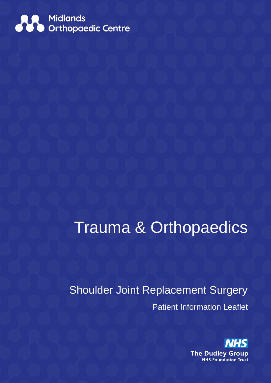

# Trauma & Orthopaedics

Shoulder Joint Replacement Surgery Patient Information Leaflet

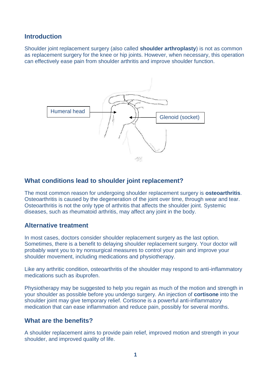## **Introduction**

Shoulder joint replacement surgery (also called **shoulder arthroplasty**) is not as common as replacement surgery for the knee or hip joints. However, when necessary, this operation can effectively ease pain from shoulder arthritis and improve shoulder function.



## **What conditions lead to shoulder joint replacement?**

The most common reason for undergoing shoulder replacement surgery is **osteoarthritis**. Osteoarthritis is caused by the degeneration of the joint over time, through wear and tear. Osteoarthritis is not the only type of arthritis that affects the shoulder joint. Systemic diseases, such as rheumatoid arthritis, may affect any joint in the body.

## **Alternative treatment**

In most cases, doctors consider shoulder replacement surgery as the last option. Sometimes, there is a benefit to delaying shoulder replacement surgery. Your doctor will probably want you to try nonsurgical measures to control your pain and improve your shoulder movement, including medications and physiotherapy.

Like any arthritic condition, osteoarthritis of the shoulder may respond to anti-inflammatory medications such as ibuprofen.

Physiotherapy may be suggested to help you regain as much of the motion and strength in your shoulder as possible before you undergo surgery. An injection of **cortisone** into the shoulder joint may give temporary relief. Cortisone is a powerful anti-inflammatory medication that can ease inflammation and reduce pain, possibly for several months.

## **What are the benefits?**

A shoulder replacement aims to provide pain relief, improved motion and strength in your shoulder, and improved quality of life.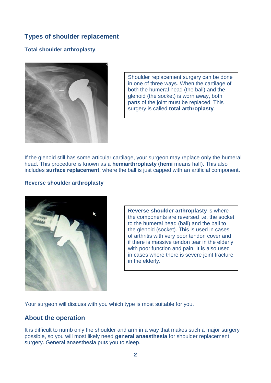# **Types of shoulder replacement**

## **Total shoulder arthroplasty**



Shoulder replacement surgery can be done in one of three ways. When the cartilage of both the humeral head (the ball) and the glenoid (the socket) is worn away, both parts of the joint must be replaced. This surgery is called **total arthroplasty***.*

If the glenoid still has some articular cartilage, your surgeon may replace only the humeral head. This procedure is known as a **hemiarthroplasty** (**hemi** means half). This also includes **surface replacement,** where the ball is just capped with an artificial component.

#### **Reverse shoulder arthroplasty**



**Reverse shoulder arthroplasty** is where the components are reversed i.e. the socket to the humeral head (ball) and the ball to the glenoid (socket). This is used in cases of arthritis with very poor tendon cover and if there is massive tendon tear in the elderly with poor function and pain. It is also used in cases where there is severe joint fracture in the elderly.

Your surgeon will discuss with you which type is most suitable for you.

## **About the operation**

It is difficult to numb only the shoulder and arm in a way that makes such a major surgery possible, so you will most likely need **general anaesthesia** for shoulder replacement surgery. General anaesthesia puts you to sleep.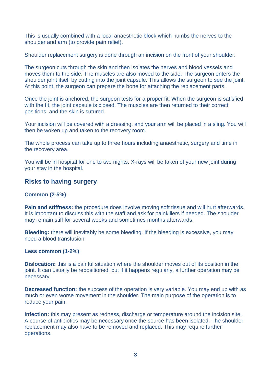This is usually combined with a local anaesthetic block which numbs the nerves to the shoulder and arm (to provide pain relief).

Shoulder replacement surgery is done through an incision on the front of your shoulder.

The surgeon cuts through the skin and then isolates the nerves and blood vessels and moves them to the side. The muscles are also moved to the side. The surgeon enters the shoulder joint itself by cutting into the joint capsule. This allows the surgeon to see the joint. At this point, the surgeon can prepare the bone for attaching the replacement parts.

Once the joint is anchored, the surgeon tests for a proper fit. When the surgeon is satisfied with the fit, the joint capsule is closed. The muscles are then returned to their correct positions, and the skin is sutured.

Your incision will be covered with a dressing, and your arm will be placed in a sling. You will then be woken up and taken to the recovery room.

The whole process can take up to three hours including anaesthetic, surgery and time in the recovery area.

You will be in hospital for one to two nights. X-rays will be taken of your new joint during your stay in the hospital.

## **Risks to having surgery**

#### **Common (2-5%)**

**Pain and stiffness:** the procedure does involve moving soft tissue and will hurt afterwards. It is important to discuss this with the staff and ask for painkillers if needed. The shoulder may remain stiff for several weeks and sometimes months afterwards.

**Bleeding:** there will inevitably be some bleeding. If the bleeding is excessive, you may need a blood transfusion.

#### **Less common (1-2%)**

**Dislocation:** this is a painful situation where the shoulder moves out of its position in the joint. It can usually be repositioned, but if it happens regularly, a further operation may be necessary.

**Decreased function:** the success of the operation is very variable. You may end up with as much or even worse movement in the shoulder. The main purpose of the operation is to reduce your pain.

**Infection:** this may present as redness, discharge or temperature around the incision site. A course of antibiotics may be necessary once the source has been isolated. The shoulder replacement may also have to be removed and replaced. This may require further operations.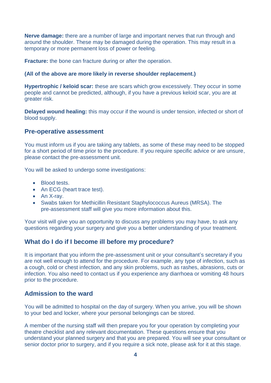**Nerve damage:** there are a number of large and important nerves that run through and around the shoulder. These may be damaged during the operation. This may result in a temporary or more permanent loss of power or feeling.

**Fracture:** the bone can fracture during or after the operation.

#### **(All of the above are more likely in reverse shoulder replacement.)**

**Hypertrophic / keloid scar:** these are scars which grow excessively. They occur in some people and cannot be predicted, although, if you have a previous keloid scar, you are at greater risk.

**Delayed wound healing:** this may occur if the wound is under tension, infected or short of blood supply.

#### **Pre-operative assessment**

You must inform us if you are taking any tablets, as some of these may need to be stopped for a short period of time prior to the procedure. If you require specific advice or are unsure, please contact the pre-assessment unit.

You will be asked to undergo some investigations:

- Blood tests.
- An ECG (heart trace test).
- An X-ray.
- Swabs taken for Methicillin Resistant Staphylococcus Aureus (MRSA). The pre-assessment staff will give you more information about this.

Your visit will give you an opportunity to discuss any problems you may have, to ask any questions regarding your surgery and give you a better understanding of your treatment.

## **What do I do if I become ill before my procedure?**

It is important that you inform the pre-assessment unit or your consultant's secretary if you are not well enough to attend for the procedure. For example, any type of infection, such as a cough, cold or chest infection, and any skin problems, such as rashes, abrasions, cuts or infection. You also need to contact us if you experience any diarrhoea or vomiting 48 hours prior to the procedure.

## **Admission to the ward**

You will be admitted to hospital on the day of surgery. When you arrive, you will be shown to your bed and locker, where your personal belongings can be stored.

A member of the nursing staff will then prepare you for your operation by completing your theatre checklist and any relevant documentation. These questions ensure that you understand your planned surgery and that you are prepared. You will see your consultant or senior doctor prior to surgery, and if you require a sick note, please ask for it at this stage.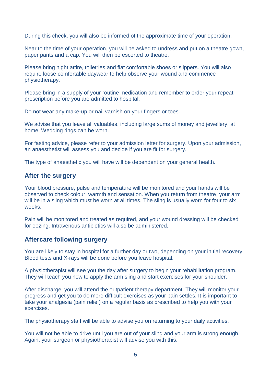During this check, you will also be informed of the approximate time of your operation.

Near to the time of your operation, you will be asked to undress and put on a theatre gown, paper pants and a cap. You will then be escorted to theatre.

Please bring night attire, toiletries and flat comfortable shoes or slippers. You will also require loose comfortable daywear to help observe your wound and commence physiotherapy.

Please bring in a supply of your routine medication and remember to order your repeat prescription before you are admitted to hospital.

Do not wear any make-up or nail varnish on your fingers or toes.

We advise that you leave all valuables, including large sums of money and jewellery, at home. Wedding rings can be worn.

For fasting advice, please refer to your admission letter for surgery. Upon your admission, an anaesthetist will assess you and decide if you are fit for surgery.

The type of anaesthetic you will have will be dependent on your general health.

## **After the surgery**

Your blood pressure, pulse and temperature will be monitored and your hands will be observed to check colour, warmth and sensation. When you return from theatre, your arm will be in a sling which must be worn at all times. The sling is usually worn for four to six weeks.

Pain will be monitored and treated as required, and your wound dressing will be checked for oozing. Intravenous antibiotics will also be administered.

## **Aftercare following surgery**

You are likely to stay in hospital for a further day or two, depending on your initial recovery. Blood tests and X-rays will be done before you leave hospital.

A physiotherapist will see you the day after surgery to begin your rehabilitation program. They will teach you how to apply the arm sling and start exercises for your shoulder.

After discharge, you will attend the outpatient therapy department. They will monitor your progress and get you to do more difficult exercises as your pain settles. It is important to take your analgesia (pain relief) on a regular basis as prescribed to help you with your exercises.

The physiotherapy staff will be able to advise you on returning to your daily activities.

You will not be able to drive until you are out of your sling and your arm is strong enough. Again, your surgeon or physiotherapist will advise you with this.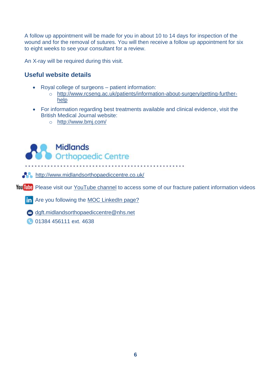A follow up appointment will be made for you in about 10 to 14 days for inspection of the wound and for the removal of sutures. You will then receive a follow up appointment for six to eight weeks to see your consultant for a review.

An X-ray will be required during this visit.

# **Useful website details**

- Royal college of surgeons patient information:
	- o [http://www.rcseng.ac.uk/patients/information-about-surgery/getting-further](http://www.rcseng.ac.uk/patients/information-about-surgery/getting-further-help)[help](http://www.rcseng.ac.uk/patients/information-about-surgery/getting-further-help)
- For information regarding best treatments available and clinical evidence, visit the British Medical Journal website:
	- o <http://www.bmj.com/>



**A <http://www.midlandsorthopaediccentre.co.uk/>** 

YouTube Please visit our [YouTube channel](https://www.youtube.com/channel/UCna9SuLas04jwq3zyFqX5gA) to access some of our fracture patient information videos

**in** Are you following the [MOC LinkedIn page?](https://www.linkedin.com/company/68892801/)

[dgft.midlandsorthopaediccentre@nhs.net](mailto:dgft.midlandsorthopaediccentre@nhs.net)

**01384 456111 ext. 4638** 

j